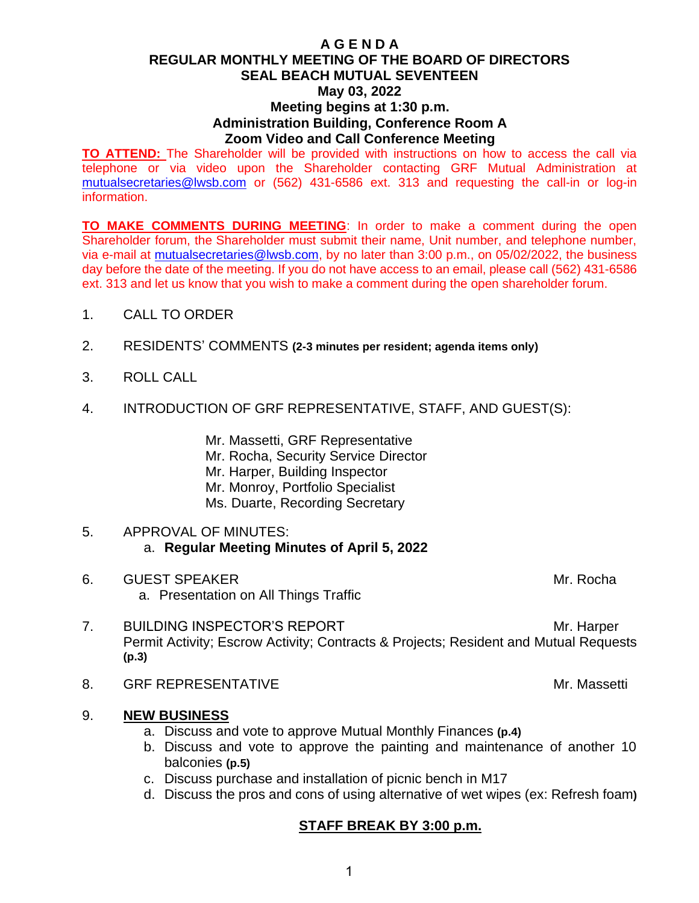#### **A G E N D A REGULAR MONTHLY MEETING OF THE BOARD OF DIRECTORS SEAL BEACH MUTUAL SEVENTEEN May 03, 2022 Meeting begins at 1:30 p.m. Administration Building, Conference Room A Zoom Video and Call Conference Meeting**

**TO ATTEND:** The Shareholder will be provided with instructions on how to access the call via telephone or via video upon the Shareholder contacting GRF Mutual Administration at [mutualsecretaries@lwsb.com](mailto:mutualsecretaries@lwsb.com) or (562) 431-6586 ext. 313 and requesting the call-in or log-in information.

**TO MAKE COMMENTS DURING MEETING**: In order to make a comment during the open Shareholder forum, the Shareholder must submit their name, Unit number, and telephone number, via e-mail at [mutualsecretaries@lwsb.com,](mailto:mutualsecretaries@lwsb.com) by no later than 3:00 p.m., on 05/02/2022, the business day before the date of the meeting. If you do not have access to an email, please call (562) 431-6586 ext. 313 and let us know that you wish to make a comment during the open shareholder forum.

- 1. CALL TO ORDER
- 2. RESIDENTS' COMMENTS **(2-3 minutes per resident; agenda items only)**
- 3. ROLL CALL
- 4. INTRODUCTION OF GRF REPRESENTATIVE, STAFF, AND GUEST(S):

Mr. Massetti, GRF Representative Mr. Rocha, Security Service Director Mr. Harper, Building Inspector Mr. Monroy, Portfolio Specialist Ms. Duarte, Recording Secretary

#### 5. APPROVAL OF MINUTES: a. **Regular Meeting Minutes of April 5, 2022**

- 6. GUEST SPEAKER Management of the state of the state of the state of the state of the state of the state of the state of the state of the state of the state of the state of the state of the state of the state of the state a. Presentation on All Things Traffic
- 7. BUILDING INSPECTOR'S REPORT MIT AND MILLEN MELLEN MELLEN MELLEN MELLEN MELLEN MELLEN MELLEN MELLEN MELLEN M Permit Activity; Escrow Activity; Contracts & Projects; Resident and Mutual Requests **(p.3)**
- 8. GRF REPRESENTATIVE **All and Service Contract Contract Contract Contract Contract Contract Contract Contract Contract Contract Contract Contract Contract Contract Contract Contract Contract Contract Contract Contract Con**
- 9. **NEW BUSINESS**
	- a. Discuss and vote to approve Mutual Monthly Finances **(p.4)**
	- b. Discuss and vote to approve the painting and maintenance of another 10 balconies **(p.5)**
	- c. Discuss purchase and installation of picnic bench in M17
	- d. Discuss the pros and cons of using alternative of wet wipes (ex: Refresh foam**)**

#### **STAFF BREAK BY 3:00 p.m.**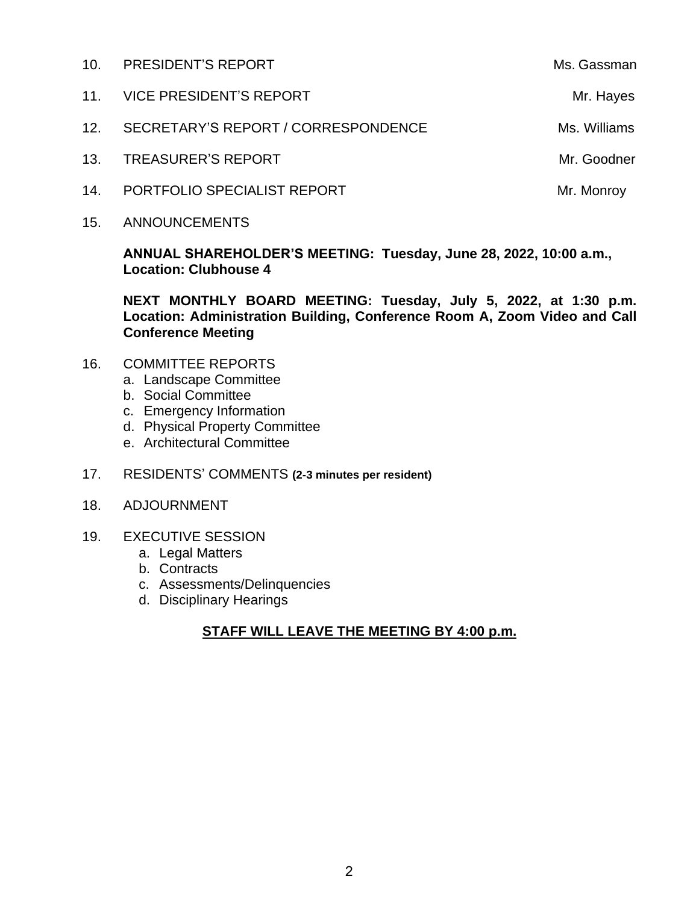| 10.             | <b>PRESIDENT'S REPORT</b>           | Ms. Gassman  |
|-----------------|-------------------------------------|--------------|
| 11 <sub>1</sub> | VICE PRESIDENT'S REPORT             | Mr. Hayes    |
| 12.             | SECRETARY'S REPORT / CORRESPONDENCE | Ms. Williams |
| 13.             | <b>TREASURER'S REPORT</b>           | Mr. Goodner  |
| 14.             | PORTFOLIO SPECIALIST REPORT         | Mr. Monroy   |
|                 |                                     |              |

15. ANNOUNCEMENTS

**ANNUAL SHAREHOLDER'S MEETING: Tuesday, June 28, 2022, 10:00 a.m., Location: Clubhouse 4**

**NEXT MONTHLY BOARD MEETING: Tuesday, July 5, 2022, at 1:30 p.m. Location: Administration Building, Conference Room A, Zoom Video and Call Conference Meeting**

- 16. COMMITTEE REPORTS
	- a. Landscape Committee
	- b. Social Committee
	- c. Emergency Information
	- d. Physical Property Committee
	- e. Architectural Committee
- 17. RESIDENTS' COMMENTS **(2-3 minutes per resident)**
- 18. ADJOURNMENT
- 19. EXECUTIVE SESSION
	- a. Legal Matters
	- b. Contracts
	- c. Assessments/Delinquencies
	- d. Disciplinary Hearings

#### **STAFF WILL LEAVE THE MEETING BY 4:00 p.m.**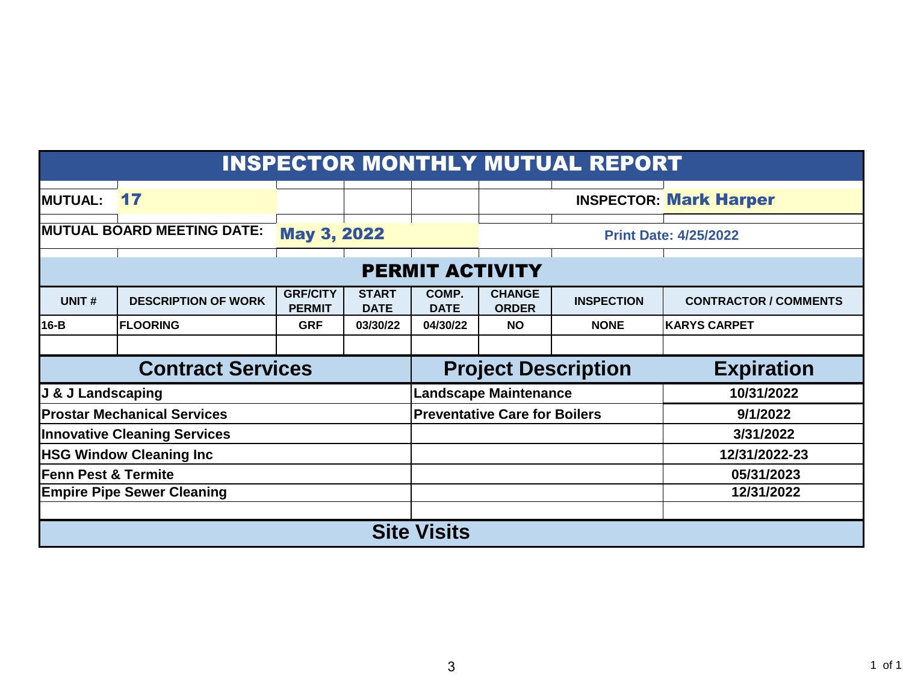### INSPECTOR MONTHLY MUTUAL REPORT

| MUTUAL: 17                          |                                   |                                  |                             |                                      |                               |                   | <b>INSPECTOR: Mark Harper</b> |  |  |
|-------------------------------------|-----------------------------------|----------------------------------|-----------------------------|--------------------------------------|-------------------------------|-------------------|-------------------------------|--|--|
| <b>MUTUAL BOARD MEETING DATE:</b>   |                                   | <b>May 3, 2022</b>               |                             |                                      |                               |                   | <b>Print Date: 4/25/2022</b>  |  |  |
| <b>PERMIT ACTIVITY</b>              |                                   |                                  |                             |                                      |                               |                   |                               |  |  |
| UNIT#                               | <b>DESCRIPTION OF WORK</b>        | <b>GRF/CITY</b><br><b>PERMIT</b> | <b>START</b><br><b>DATE</b> | COMP.<br><b>DATE</b>                 | <b>CHANGE</b><br><b>ORDER</b> | <b>INSPECTION</b> | <b>CONTRACTOR / COMMENTS</b>  |  |  |
| 16-B                                | <b>FLOORING</b>                   | <b>GRF</b>                       | 03/30/22                    | 04/30/22                             | <b>NO</b>                     | <b>NONE</b>       | <b>KARYS CARPET</b>           |  |  |
|                                     |                                   |                                  |                             |                                      |                               |                   |                               |  |  |
| <b>Contract Services</b>            |                                   |                                  |                             | <b>Project Description</b>           |                               |                   | <b>Expiration</b>             |  |  |
| J & J Landscaping                   |                                   |                                  |                             | <b>Landscape Maintenance</b>         |                               |                   | 10/31/2022                    |  |  |
| <b>Prostar Mechanical Services</b>  |                                   |                                  |                             | <b>Preventative Care for Boilers</b> |                               |                   | 9/1/2022                      |  |  |
| <b>Innovative Cleaning Services</b> |                                   |                                  |                             |                                      |                               |                   | 3/31/2022                     |  |  |
|                                     | <b>HSG Window Cleaning Inc.</b>   |                                  |                             |                                      |                               | 12/31/2022-23     |                               |  |  |
| Fenn Pest & Termite                 |                                   |                                  |                             |                                      |                               | 05/31/2023        |                               |  |  |
|                                     | <b>Empire Pipe Sewer Cleaning</b> |                                  |                             |                                      |                               | 12/31/2022        |                               |  |  |
|                                     |                                   |                                  |                             |                                      |                               |                   |                               |  |  |
| <b>Site Visits</b>                  |                                   |                                  |                             |                                      |                               |                   |                               |  |  |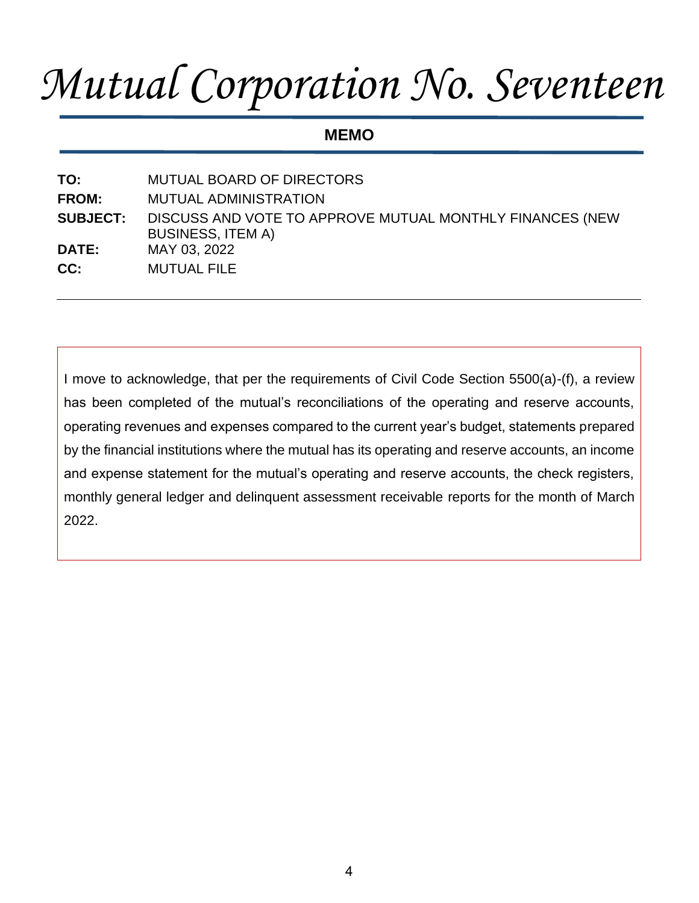# *Mutual Corporation No. Seventeen*

**MEMO**

**TO:** MUTUAL BOARD OF DIRECTORS **FROM:** MUTUAL ADMINISTRATION **SUBJECT:** DISCUSS AND VOTE TO APPROVE MUTUAL MONTHLY FINANCES (NEW BUSINESS, ITEM A) **DATE:** MAY 03, 2022 **CC:** MUTUAL FILE

I move to acknowledge, that per the requirements of Civil Code Section 5500(a)-(f), a review has been completed of the mutual's reconciliations of the operating and reserve accounts, operating revenues and expenses compared to the current year's budget, statements prepared by the financial institutions where the mutual has its operating and reserve accounts, an income and expense statement for the mutual's operating and reserve accounts, the check registers, monthly general ledger and delinquent assessment receivable reports for the month of March 2022.